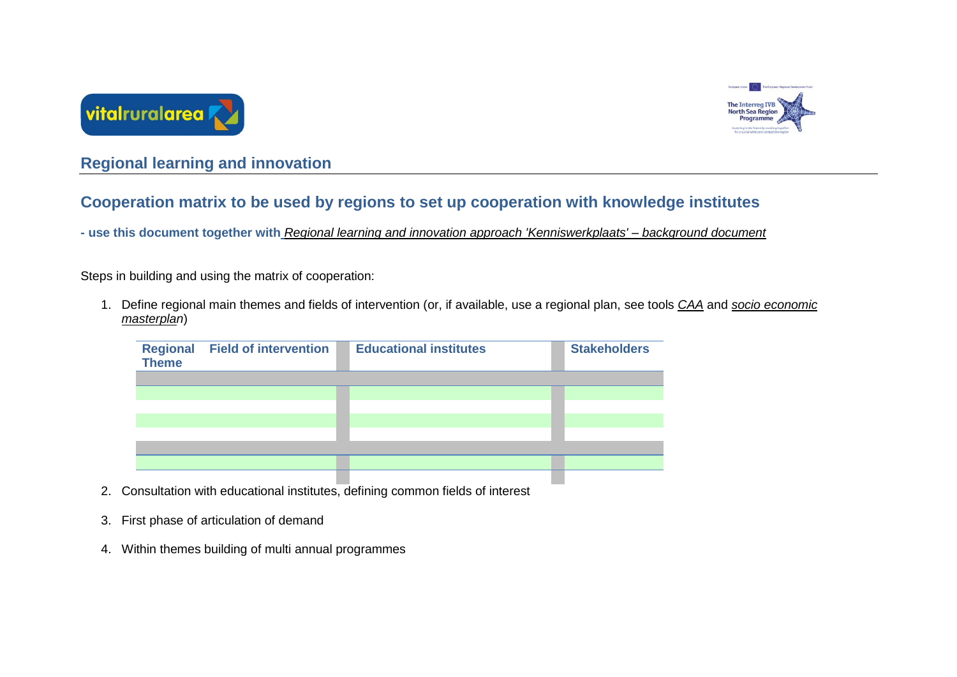



## **Regional learning and innovation**

## **Cooperation matrix to be used by regions to set up cooperation with knowledge institutes**

**- use this document together with** *Regional learning and innovation approach 'Kenniswerkplaats' – background document*

Steps in building and using the matrix of cooperation:

1. Define regional main themes and fields of intervention (or, if available, use a regional plan, see tools *CAA* and *socio economic masterplan*)

| Regional Field of intervention<br>Theme | <b>Educational institutes</b> | <b>Stakeholders</b> |
|-----------------------------------------|-------------------------------|---------------------|
|                                         |                               |                     |
|                                         |                               |                     |
|                                         |                               |                     |
|                                         |                               |                     |
|                                         |                               |                     |
|                                         |                               |                     |
|                                         |                               |                     |
|                                         |                               |                     |

- 2. Consultation with educational institutes, defining common fields of interest
- 3. First phase of articulation of demand
- 4. Within themes building of multi annual programmes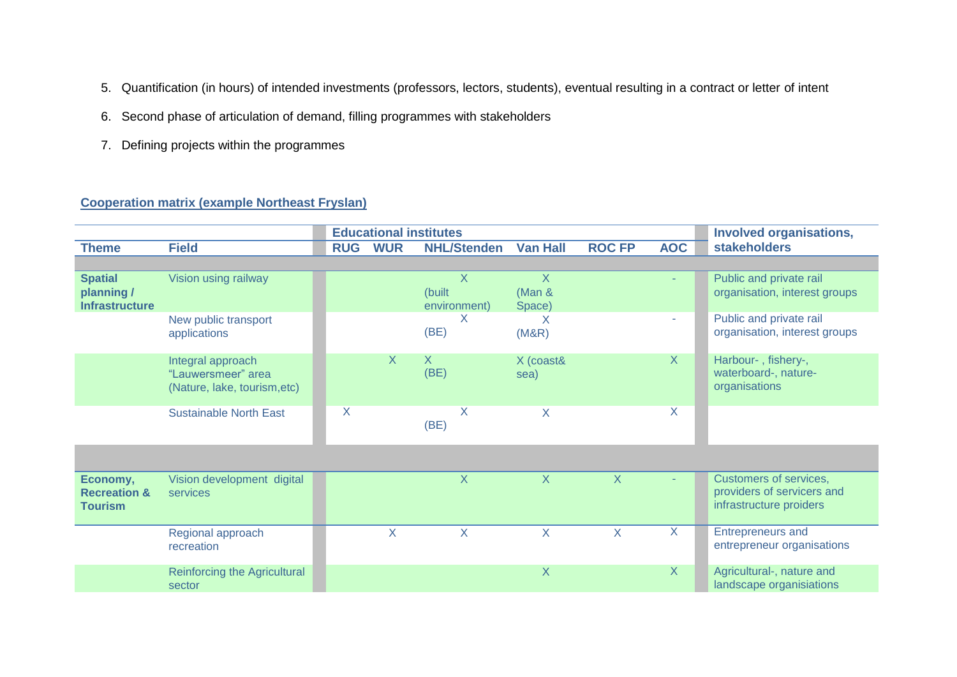- 5. Quantification (in hours) of intended investments (professors, lectors, students), eventual resulting in a contract or letter of intent
- 6. Second phase of articulation of demand, filling programmes with stakeholders
- 7. Defining projects within the programmes

## **Cooperation matrix (example Northeast Fryslan)**

|                                                       |                                                                         |            |            | <b>Educational institutes</b>     | <b>Involved organisations,</b> |               |                |                                                                                 |  |  |
|-------------------------------------------------------|-------------------------------------------------------------------------|------------|------------|-----------------------------------|--------------------------------|---------------|----------------|---------------------------------------------------------------------------------|--|--|
| <b>Theme</b>                                          | <b>Field</b>                                                            | <b>RUG</b> | <b>WUR</b> | <b>NHL/Stenden</b>                | <b>Van Hall</b>                | <b>ROC FP</b> | <b>AOC</b>     | <b>stakeholders</b>                                                             |  |  |
|                                                       |                                                                         |            |            |                                   |                                |               |                |                                                                                 |  |  |
| <b>Spatial</b><br>planning/<br><b>Infrastructure</b>  | Vision using railway                                                    |            |            | $\sf X$<br>(built<br>environment) | X<br>(Man &<br>Space)          |               |                | Public and private rail<br>organisation, interest groups                        |  |  |
|                                                       | New public transport<br>applications                                    |            |            | $\mathsf{X}$<br>(BE)              | X<br>(M&R)                     |               |                | Public and private rail<br>organisation, interest groups                        |  |  |
|                                                       | Integral approach<br>"Lauwersmeer" area<br>(Nature, lake, tourism, etc) |            | X          | $\mathsf{X}$<br>(BE)              | X (coast&<br>sea)              |               | $\overline{X}$ | Harbour-, fishery-,<br>waterboard-, nature-<br>organisations                    |  |  |
|                                                       | <b>Sustainable North East</b>                                           | X          |            | X<br>(BE)                         | X                              |               | X              |                                                                                 |  |  |
|                                                       |                                                                         |            |            |                                   |                                |               |                |                                                                                 |  |  |
| Economy,<br><b>Recreation &amp;</b><br><b>Tourism</b> | Vision development digital<br>services                                  |            |            | $\sf X$                           | $\mathsf{X}$                   | $\sf X$       |                | Customers of services,<br>providers of servicers and<br>infrastructure proiders |  |  |
|                                                       | Regional approach<br>recreation                                         |            | X          | $\sf X$                           | X                              | $\sf X$       | $\sf X$        | <b>Entrepreneurs and</b><br>entrepreneur organisations                          |  |  |
|                                                       | <b>Reinforcing the Agricultural</b><br>sector                           |            |            |                                   | $\mathsf{X}$                   |               | $\sf X$        | Agricultural-, nature and<br>landscape organisiations                           |  |  |